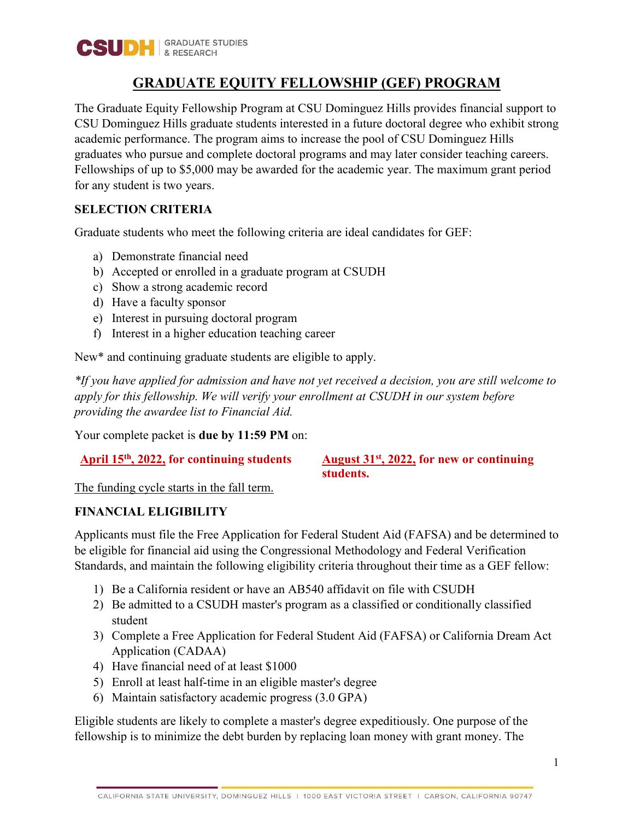

## **GRADUATE EQUITY FELLOWSHIP (GEF) PROGRAM**

The Graduate Equity Fellowship Program at CSU Dominguez Hills provides financial support to CSU Dominguez Hills graduate students interested in a future doctoral degree who exhibit strong academic performance. The program aims to increase the pool of CSU Dominguez Hills graduates who pursue and complete doctoral programs and may later consider teaching careers. Fellowships of up to \$5,000 may be awarded for the academic year. The maximum grant period for any student is two years.

### **SELECTION CRITERIA**

Graduate students who meet the following criteria are ideal candidates for GEF:

- a) Demonstrate financial need
- b) Accepted or enrolled in a graduate program at CSUDH
- c) Show a strong academic record
- d) Have a faculty sponsor
- e) Interest in pursuing doctoral program
- f) Interest in a higher education teaching career

New\* and continuing graduate students are eligible to apply.

*\*If you have applied for admission and have not yet received a decision, you are still welcome to apply for this fellowship. We will verify your enrollment at CSUDH in our system before providing the awardee list to Financial Aid.*

Your complete packet is **due by 11:59 PM** on:

### **April 15th, 2022, for continuing students August 31st, 2022, for new or continuing students.**

The funding cycle starts in the fall term.

### **FINANCIAL ELIGIBILITY**

Applicants must file the Free Application for Federal Student Aid (FAFSA) and be determined to be eligible for financial aid using the Congressional Methodology and Federal Verification Standards, and maintain the following eligibility criteria throughout their time as a GEF fellow:

- 1) Be a California resident or have an AB540 affidavit on file with CSUDH
- 2) Be admitted to a CSUDH master's program as a classified or conditionally classified student
- 3) Complete a Free Application for Federal Student Aid (FAFSA) or California Dream Act Application (CADAA)
- 4) Have financial need of at least \$1000
- 5) Enroll at least half-time in an eligible master's degree
- 6) Maintain satisfactory academic progress (3.0 GPA)

Eligible students are likely to complete a master's degree expeditiously. One purpose of the fellowship is to minimize the debt burden by replacing loan money with grant money. The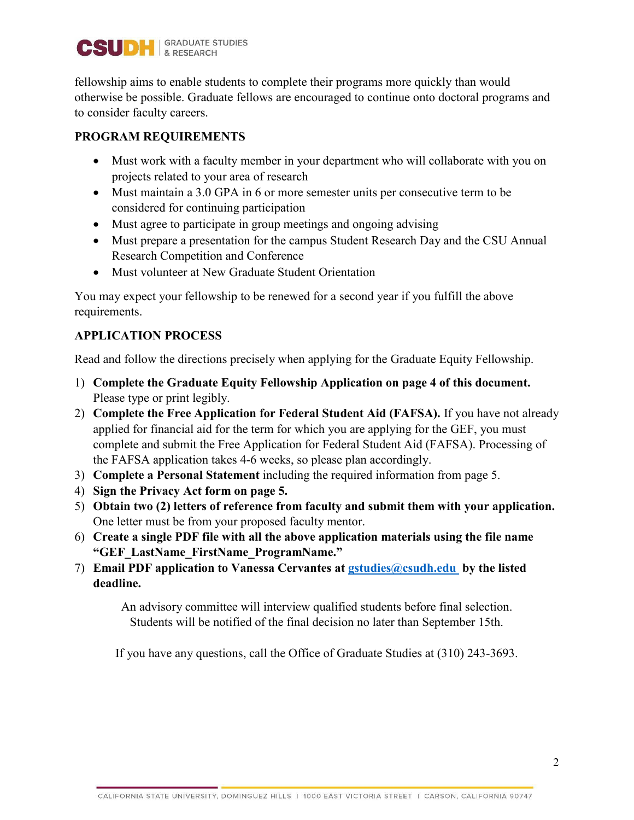

fellowship aims to enable students to complete their programs more quickly than would otherwise be possible. Graduate fellows are encouraged to continue onto doctoral programs and to consider faculty careers.

### **PROGRAM REQUIREMENTS**

- Must work with a faculty member in your department who will collaborate with you on projects related to your area of research
- Must maintain a 3.0 GPA in 6 or more semester units per consecutive term to be considered for continuing participation
- Must agree to participate in group meetings and ongoing advising
- Must prepare a presentation for the campus Student Research Day and the CSU Annual Research Competition and Conference
- Must volunteer at New Graduate Student Orientation

You may expect your fellowship to be renewed for a second year if you fulfill the above requirements.

### **APPLICATION PROCESS**

Read and follow the directions precisely when applying for the Graduate Equity Fellowship.

- 1) **Complete the Graduate Equity Fellowship Application on page 4 of this document.**  Please type or print legibly.
- 2) **Complete the Free Application for Federal Student Aid (FAFSA).** If you have not already applied for financial aid for the term for which you are applying for the GEF, you must complete and submit the Free Application for Federal Student Aid (FAFSA). Processing of the FAFSA application takes 4-6 weeks, so please plan accordingly.
- 3) **Complete a Personal Statement** including the required information from page 5.
- 4) **Sign the Privacy Act form on page 5.**
- 5) **Obtain two (2) letters of reference from faculty and submit them with your application.** One letter must be from your proposed faculty mentor.
- 6) **Create a single PDF file with all the above application materials using the file name "GEF\_LastName\_FirstName\_ProgramName."**
- 7) **Email PDF application to Vanessa Cervantes at [gstudies@csudh.edu](mailto:vmolina@csudh.edu) by the listed deadline.**

An advisory committee will interview qualified students before final selection. Students will be notified of the final decision no later than September 15th.

If you have any questions, call the Office of Graduate Studies at (310) 243-3693.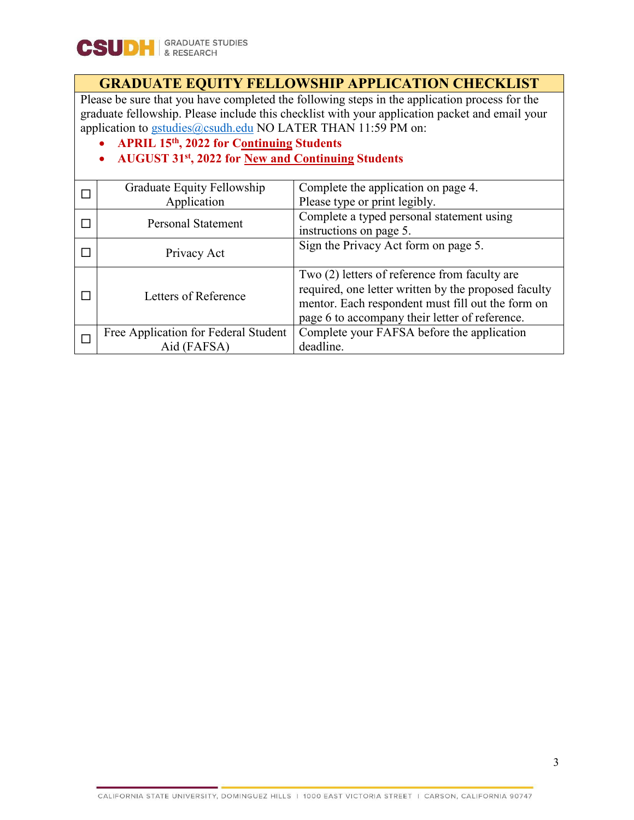## **GRADUATE EQUITY FELLOWSHIP APPLICATION CHECKLIST**

Please be sure that you have completed the following steps in the application process for the graduate fellowship. Please include this checklist with your application packet and email your application to **gstudies@csudh.edu** NO LATER THAN 11:59 PM on:

• **APRIL 15th, 2022 for Continuing Students** 

### • **AUGUST 31st, 2022 for New and Continuing Students**

|  | Graduate Equity Fellowship           | Complete the application on page 4.                  |  |  |
|--|--------------------------------------|------------------------------------------------------|--|--|
|  | Application                          | Please type or print legibly.                        |  |  |
|  | <b>Personal Statement</b>            | Complete a typed personal statement using            |  |  |
|  |                                      | instructions on page 5.                              |  |  |
|  | Privacy Act                          | Sign the Privacy Act form on page 5.                 |  |  |
|  |                                      |                                                      |  |  |
|  | Letters of Reference                 | Two (2) letters of reference from faculty are        |  |  |
|  |                                      | required, one letter written by the proposed faculty |  |  |
|  |                                      | mentor. Each respondent must fill out the form on    |  |  |
|  |                                      | page 6 to accompany their letter of reference.       |  |  |
|  | Free Application for Federal Student | Complete your FAFSA before the application           |  |  |
|  | Aid (FAFSA)                          | deadline.                                            |  |  |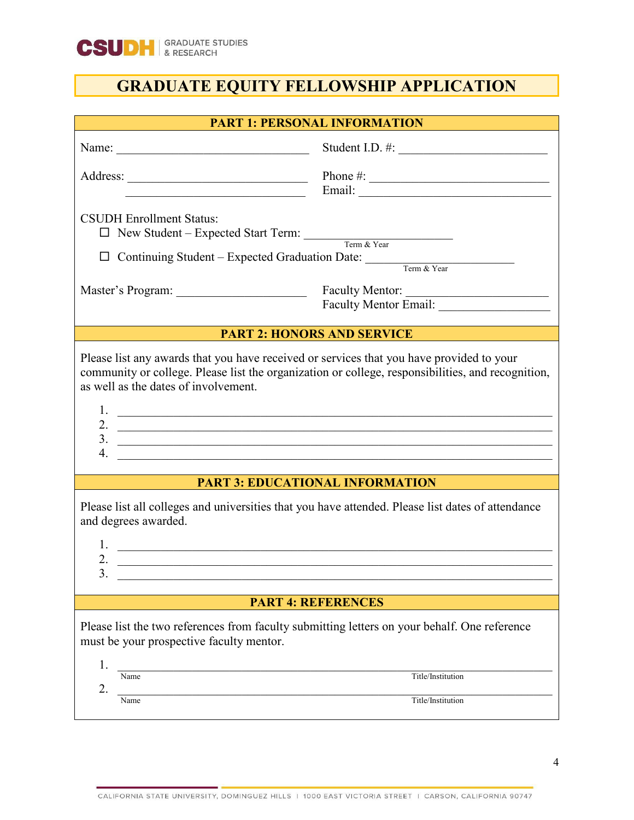

# **GRADUATE EQUITY FELLOWSHIP APPLICATION**

| <b>PART 1: PERSONAL INFORMATION</b>                                                                                                                                                                                                                                  |                                          |  |  |
|----------------------------------------------------------------------------------------------------------------------------------------------------------------------------------------------------------------------------------------------------------------------|------------------------------------------|--|--|
|                                                                                                                                                                                                                                                                      | Student I.D. #:                          |  |  |
|                                                                                                                                                                                                                                                                      |                                          |  |  |
| <b>CSUDH Enrollment Status:</b><br>New Student – Expected Start Term: Term & Year<br>$\Box$<br>Continuing Student – Expected Graduation Date: Term & Year<br>□                                                                                                       |                                          |  |  |
|                                                                                                                                                                                                                                                                      | Faculty Mentor:<br>Faculty Mentor Email: |  |  |
|                                                                                                                                                                                                                                                                      |                                          |  |  |
|                                                                                                                                                                                                                                                                      | <b>PART 2: HONORS AND SERVICE</b>        |  |  |
| Please list any awards that you have received or services that you have provided to your<br>community or college. Please list the organization or college, responsibilities, and recognition,<br>as well as the dates of involvement.<br>2. $\overline{\phantom{a}}$ |                                          |  |  |
| $\overline{\mathbf{3.}}$<br>4.                                                                                                                                                                                                                                       |                                          |  |  |
|                                                                                                                                                                                                                                                                      |                                          |  |  |
|                                                                                                                                                                                                                                                                      | <b>PART 3: EDUCATIONAL INFORMATION</b>   |  |  |
| Please list all colleges and universities that you have attended. Please list dates of attendance<br>and degrees awarded.<br>1.<br><u> 1989 - Johann Harry Harry Harry Harry Harry Harry Harry Harry Harry Harry Harry Harry Harry Harry Harry Harry</u>             |                                          |  |  |
| 2.                                                                                                                                                                                                                                                                   |                                          |  |  |
| 3.                                                                                                                                                                                                                                                                   |                                          |  |  |
| <b>PART 4: REFERENCES</b>                                                                                                                                                                                                                                            |                                          |  |  |
| Please list the two references from faculty submitting letters on your behalf. One reference<br>must be your prospective faculty mentor.<br>1.                                                                                                                       |                                          |  |  |
| Name                                                                                                                                                                                                                                                                 | Title/Institution                        |  |  |
| 2.<br>Name                                                                                                                                                                                                                                                           | Title/Institution                        |  |  |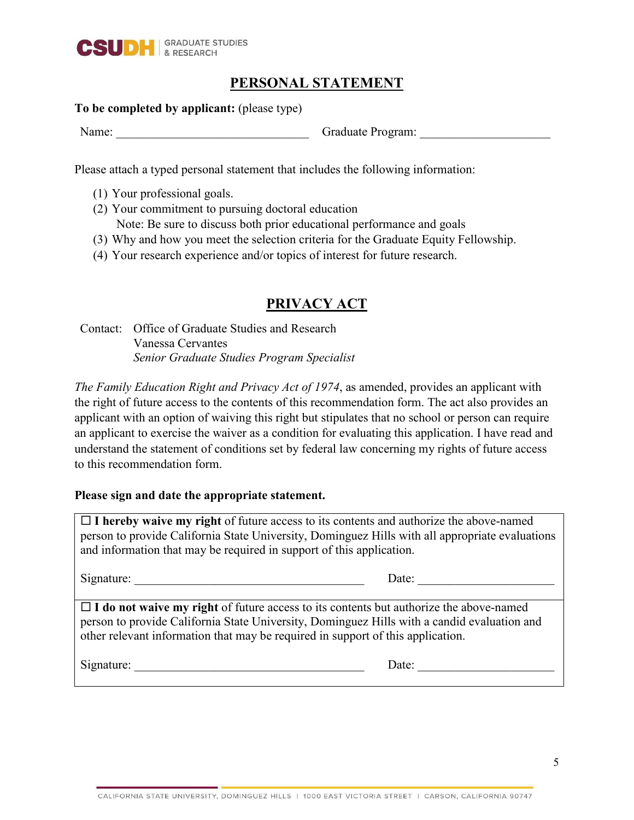

## **PERSONAL STATEMENT**

### **To be completed by applicant:** (please type)

Name: Craduate Program:

Please attach a typed personal statement that includes the following information:

- (1) Your professional goals.
- (2) Your commitment to pursuing doctoral education Note: Be sure to discuss both prior educational performance and goals
- (3) Why and how you meet the selection criteria for the Graduate Equity Fellowship.
- (4) Your research experience and/or topics of interest for future research.

## **PRIVACY ACT**

Contact: Office of Graduate Studies and Research Vanessa Cervantes *Senior Graduate Studies Program Specialist*

*The Family Education Right and Privacy Act of 1974*, as amended, provides an applicant with the right of future access to the contents of this recommendation form. The act also provides an applicant with an option of waiving this right but stipulates that no school or person can require an applicant to exercise the waiver as a condition for evaluating this application. I have read and understand the statement of conditions set by federal law concerning my rights of future access to this recommendation form.

### **Please sign and date the appropriate statement.**

 $\Box$  **I** hereby waive my right of future access to its contents and authorize the above-named person to provide California State University, Dominguez Hills with all appropriate evaluations and information that may be required in support of this application.

Signature: \_\_\_\_\_\_\_\_\_\_\_\_\_\_\_\_\_\_\_\_\_\_\_\_\_\_\_\_\_\_\_\_\_\_\_\_\_ Date: \_\_\_\_\_\_\_\_\_\_\_\_\_\_\_\_\_\_\_\_\_\_

 $\Box$  **I** do not waive my right of future access to its contents but authorize the above-named person to provide California State University, Dominguez Hills with a candid evaluation and other relevant information that may be required in support of this application.

Signature: <u>Date:</u> 2014